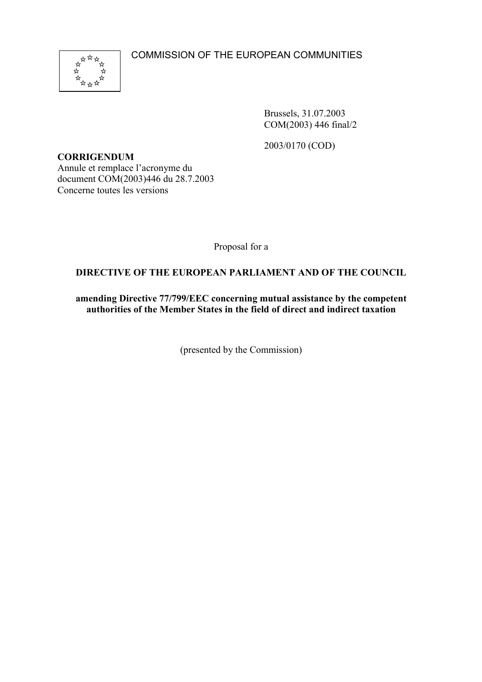COMMISSION OF THE EUROPEAN COMMUNITIES



Brussels, 31.07.2003 COM(2003) 446 final/2

2003/0170 (COD)

**CORRIGENDUM** Annule et remplace l'acronyme du document COM(2003)446 du 28.7.2003 Concerne toutes les versions

Proposal for a

# **DIRECTIVE OF THE EUROPEAN PARLIAMENT AND OF THE COUNCIL**

**amending Directive 77/799/EEC concerning mutual assistance by the competent authorities of the Member States in the field of direct and indirect taxation**

(presented by the Commission)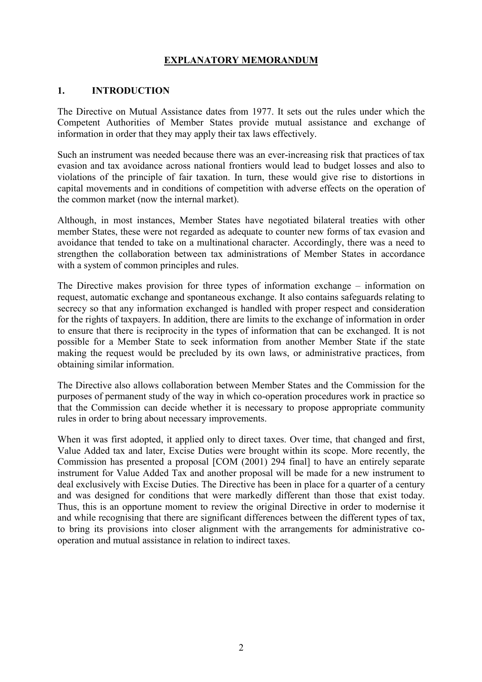# **EXPLANATORY MEMORANDUM**

#### **1. INTRODUCTION**

The Directive on Mutual Assistance dates from 1977. It sets out the rules under which the Competent Authorities of Member States provide mutual assistance and exchange of information in order that they may apply their tax laws effectively.

Such an instrument was needed because there was an ever-increasing risk that practices of tax evasion and tax avoidance across national frontiers would lead to budget losses and also to violations of the principle of fair taxation. In turn, these would give rise to distortions in capital movements and in conditions of competition with adverse effects on the operation of the common market (now the internal market).

Although, in most instances, Member States have negotiated bilateral treaties with other member States, these were not regarded as adequate to counter new forms of tax evasion and avoidance that tended to take on a multinational character. Accordingly, there was a need to strengthen the collaboration between tax administrations of Member States in accordance with a system of common principles and rules.

The Directive makes provision for three types of information exchange – information on request, automatic exchange and spontaneous exchange. It also contains safeguards relating to secrecy so that any information exchanged is handled with proper respect and consideration for the rights of taxpayers. In addition, there are limits to the exchange of information in order to ensure that there is reciprocity in the types of information that can be exchanged. It is not possible for a Member State to seek information from another Member State if the state making the request would be precluded by its own laws, or administrative practices, from obtaining similar information.

The Directive also allows collaboration between Member States and the Commission for the purposes of permanent study of the way in which co-operation procedures work in practice so that the Commission can decide whether it is necessary to propose appropriate community rules in order to bring about necessary improvements.

When it was first adopted, it applied only to direct taxes. Over time, that changed and first, Value Added tax and later, Excise Duties were brought within its scope. More recently, the Commission has presented a proposal [COM (2001) 294 final] to have an entirely separate instrument for Value Added Tax and another proposal will be made for a new instrument to deal exclusively with Excise Duties. The Directive has been in place for a quarter of a century and was designed for conditions that were markedly different than those that exist today. Thus, this is an opportune moment to review the original Directive in order to modernise it and while recognising that there are significant differences between the different types of tax, to bring its provisions into closer alignment with the arrangements for administrative cooperation and mutual assistance in relation to indirect taxes.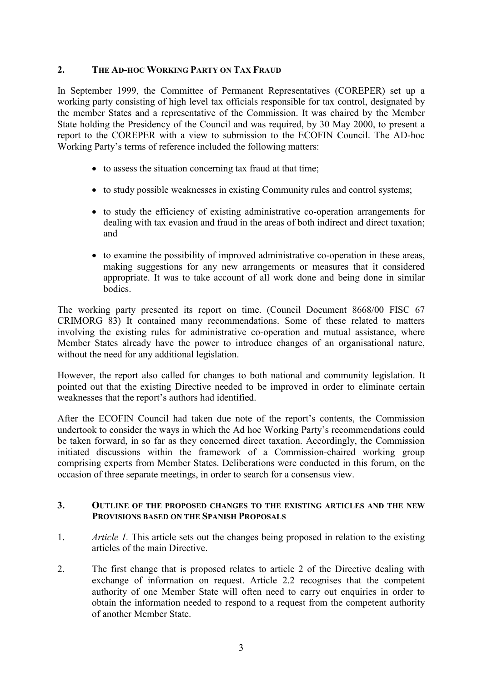## **2. THE AD-HOC WORKING PARTY ON TAX FRAUD**

In September 1999, the Committee of Permanent Representatives (COREPER) set up a working party consisting of high level tax officials responsible for tax control, designated by the member States and a representative of the Commission. It was chaired by the Member State holding the Presidency of the Council and was required, by 30 May 2000, to present a report to the COREPER with a view to submission to the ECOFIN Council. The AD-hoc Working Party's terms of reference included the following matters:

- to assess the situation concerning tax fraud at that time;
- to study possible weaknesses in existing Community rules and control systems;
- to study the efficiency of existing administrative co-operation arrangements for dealing with tax evasion and fraud in the areas of both indirect and direct taxation; and
- to examine the possibility of improved administrative co-operation in these areas, making suggestions for any new arrangements or measures that it considered appropriate. It was to take account of all work done and being done in similar bodies.

The working party presented its report on time. (Council Document 8668/00 FISC 67 CRIMORG 83) It contained many recommendations. Some of these related to matters involving the existing rules for administrative co-operation and mutual assistance, where Member States already have the power to introduce changes of an organisational nature, without the need for any additional legislation.

However, the report also called for changes to both national and community legislation. It pointed out that the existing Directive needed to be improved in order to eliminate certain weaknesses that the report's authors had identified.

After the ECOFIN Council had taken due note of the report's contents, the Commission undertook to consider the ways in which the Ad hoc Working Party's recommendations could be taken forward, in so far as they concerned direct taxation. Accordingly, the Commission initiated discussions within the framework of a Commission-chaired working group comprising experts from Member States. Deliberations were conducted in this forum, on the occasion of three separate meetings, in order to search for a consensus view.

#### **3. OUTLINE OF THE PROPOSED CHANGES TO THE EXISTING ARTICLES AND THE NEW PROVISIONS BASED ON THE SPANISH PROPOSALS**

- 1. *Article 1.* This article sets out the changes being proposed in relation to the existing articles of the main Directive.
- 2. The first change that is proposed relates to article 2 of the Directive dealing with exchange of information on request. Article 2.2 recognises that the competent authority of one Member State will often need to carry out enquiries in order to obtain the information needed to respond to a request from the competent authority of another Member State.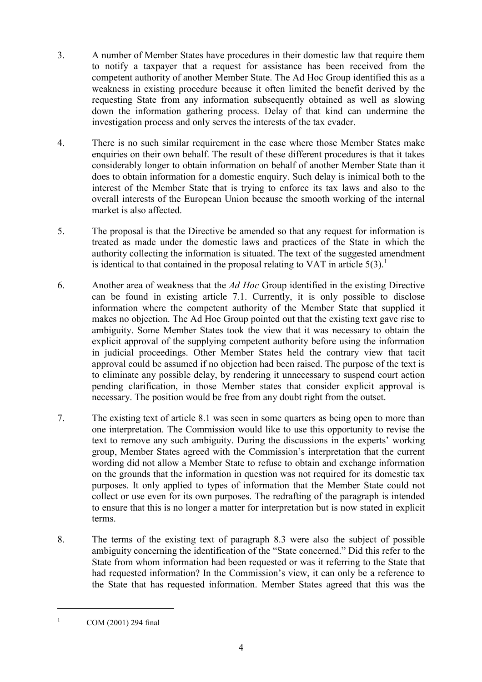- 3. A number of Member States have procedures in their domestic law that require them to notify a taxpayer that a request for assistance has been received from the competent authority of another Member State. The Ad Hoc Group identified this as a weakness in existing procedure because it often limited the benefit derived by the requesting State from any information subsequently obtained as well as slowing down the information gathering process. Delay of that kind can undermine the investigation process and only serves the interests of the tax evader.
- 4. There is no such similar requirement in the case where those Member States make enquiries on their own behalf. The result of these different procedures is that it takes considerably longer to obtain information on behalf of another Member State than it does to obtain information for a domestic enquiry. Such delay is inimical both to the interest of the Member State that is trying to enforce its tax laws and also to the overall interests of the European Union because the smooth working of the internal market is also affected.
- 5. The proposal is that the Directive be amended so that any request for information is treated as made under the domestic laws and practices of the State in which the authority collecting the information is situated. The text of the suggested amendment is identical to that contained in the proposal relating to VAT in article  $5(3)$ .<sup>1</sup>
- 6. Another area of weakness that the *Ad Hoc* Group identified in the existing Directive can be found in existing article 7.1. Currently, it is only possible to disclose information where the competent authority of the Member State that supplied it makes no objection. The Ad Hoc Group pointed out that the existing text gave rise to ambiguity. Some Member States took the view that it was necessary to obtain the explicit approval of the supplying competent authority before using the information in judicial proceedings. Other Member States held the contrary view that tacit approval could be assumed if no objection had been raised. The purpose of the text is to eliminate any possible delay, by rendering it unnecessary to suspend court action pending clarification, in those Member states that consider explicit approval is necessary. The position would be free from any doubt right from the outset.
- 7. The existing text of article 8.1 was seen in some quarters as being open to more than one interpretation. The Commission would like to use this opportunity to revise the text to remove any such ambiguity. During the discussions in the experts' working group, Member States agreed with the Commission's interpretation that the current wording did not allow a Member State to refuse to obtain and exchange information on the grounds that the information in question was not required for its domestic tax purposes. It only applied to types of information that the Member State could not collect or use even for its own purposes. The redrafting of the paragraph is intended to ensure that this is no longer a matter for interpretation but is now stated in explicit terms.
- 8. The terms of the existing text of paragraph 8.3 were also the subject of possible ambiguity concerning the identification of the "State concerned." Did this refer to the State from whom information had been requested or was it referring to the State that had requested information? In the Commission's view, it can only be a reference to the State that has requested information. Member States agreed that this was the

 $\overline{a}$ 

COM (2001) 294 final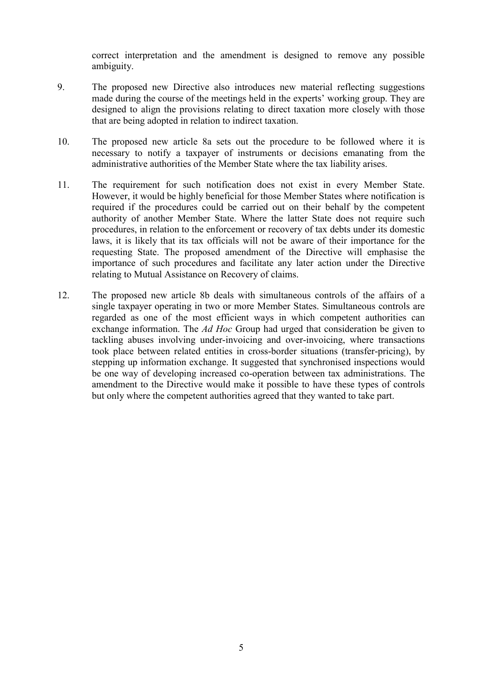correct interpretation and the amendment is designed to remove any possible ambiguity.

- 9. The proposed new Directive also introduces new material reflecting suggestions made during the course of the meetings held in the experts' working group. They are designed to align the provisions relating to direct taxation more closely with those that are being adopted in relation to indirect taxation.
- 10. The proposed new article 8a sets out the procedure to be followed where it is necessary to notify a taxpayer of instruments or decisions emanating from the administrative authorities of the Member State where the tax liability arises.
- 11. The requirement for such notification does not exist in every Member State. However, it would be highly beneficial for those Member States where notification is required if the procedures could be carried out on their behalf by the competent authority of another Member State. Where the latter State does not require such procedures, in relation to the enforcement or recovery of tax debts under its domestic laws, it is likely that its tax officials will not be aware of their importance for the requesting State. The proposed amendment of the Directive will emphasise the importance of such procedures and facilitate any later action under the Directive relating to Mutual Assistance on Recovery of claims.
- 12. The proposed new article 8b deals with simultaneous controls of the affairs of a single taxpayer operating in two or more Member States. Simultaneous controls are regarded as one of the most efficient ways in which competent authorities can exchange information. The *Ad Hoc* Group had urged that consideration be given to tackling abuses involving under-invoicing and over-invoicing, where transactions took place between related entities in cross-border situations (transfer-pricing), by stepping up information exchange. It suggested that synchronised inspections would be one way of developing increased co-operation between tax administrations. The amendment to the Directive would make it possible to have these types of controls but only where the competent authorities agreed that they wanted to take part.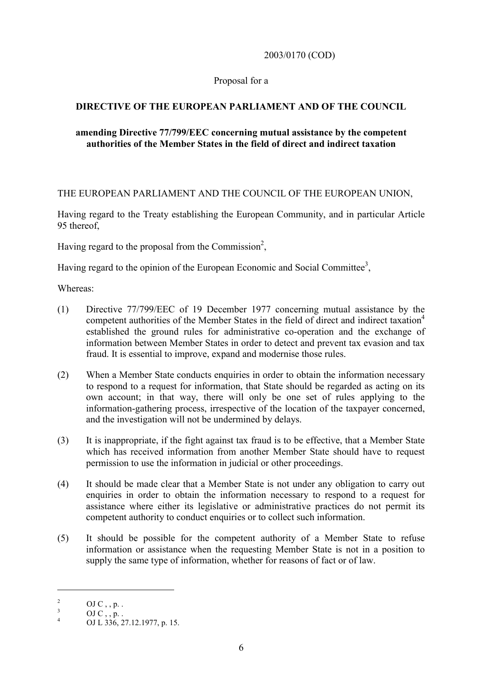2003/0170 (COD)

# Proposal for a

# **DIRECTIVE OF THE EUROPEAN PARLIAMENT AND OF THE COUNCIL**

# **amending Directive 77/799/EEC concerning mutual assistance by the competent authorities of the Member States in the field of direct and indirect taxation**

# THE EUROPEAN PARLIAMENT AND THE COUNCIL OF THE EUROPEAN UNION,

Having regard to the Treaty establishing the European Community, and in particular Article 95 thereof,

Having regard to the proposal from the Commission<sup>2</sup>,

Having regard to the opinion of the European Economic and Social Committee<sup>3</sup>,

Whereas:

- (1) Directive 77/799/EEC of 19 December 1977 concerning mutual assistance by the competent authorities of the Member States in the field of direct and indirect taxation<sup>4</sup> established the ground rules for administrative co-operation and the exchange of information between Member States in order to detect and prevent tax evasion and tax fraud. It is essential to improve, expand and modernise those rules.
- (2) When a Member State conducts enquiries in order to obtain the information necessary to respond to a request for information, that State should be regarded as acting on its own account; in that way, there will only be one set of rules applying to the information-gathering process, irrespective of the location of the taxpayer concerned, and the investigation will not be undermined by delays.
- (3) It is inappropriate, if the fight against tax fraud is to be effective, that a Member State which has received information from another Member State should have to request permission to use the information in judicial or other proceedings.
- (4) It should be made clear that a Member State is not under any obligation to carry out enquiries in order to obtain the information necessary to respond to a request for assistance where either its legislative or administrative practices do not permit its competent authority to conduct enquiries or to collect such information.
- (5) It should be possible for the competent authority of a Member State to refuse information or assistance when the requesting Member State is not in a position to supply the same type of information, whether for reasons of fact or of law.

 $\overline{a}$ 

<sup>&</sup>lt;sup>2</sup> OJ C , , p. .<br>
<sup>3</sup> OJ C , , p. .<br>
4 OJ L 336, 27.12.1977, p. 15.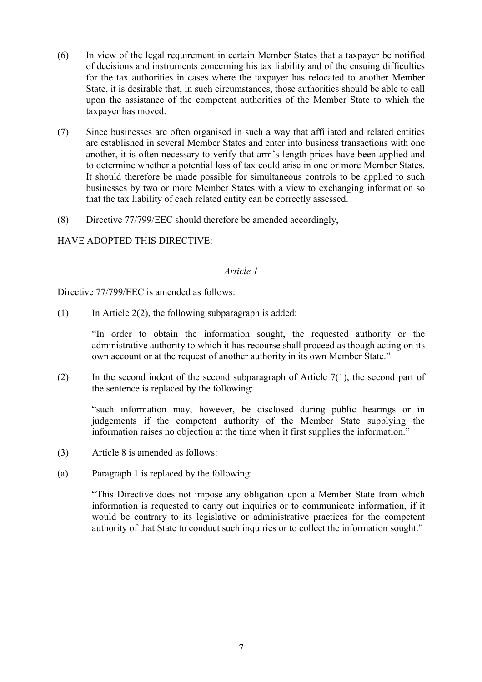- (6) In view of the legal requirement in certain Member States that a taxpayer be notified of decisions and instruments concerning his tax liability and of the ensuing difficulties for the tax authorities in cases where the taxpayer has relocated to another Member State, it is desirable that, in such circumstances, those authorities should be able to call upon the assistance of the competent authorities of the Member State to which the taxpayer has moved.
- (7) Since businesses are often organised in such a way that affiliated and related entities are established in several Member States and enter into business transactions with one another, it is often necessary to verify that arm's-length prices have been applied and to determine whether a potential loss of tax could arise in one or more Member States. It should therefore be made possible for simultaneous controls to be applied to such businesses by two or more Member States with a view to exchanging information so that the tax liability of each related entity can be correctly assessed.
- (8) Directive 77/799/EEC should therefore be amended accordingly,

# HAVE ADOPTED THIS DIRECTIVE:

#### *Article 1*

Directive 77/799/EEC is amended as follows:

(1) In Article 2(2), the following subparagraph is added:

"In order to obtain the information sought, the requested authority or the administrative authority to which it has recourse shall proceed as though acting on its own account or at the request of another authority in its own Member State."

(2) In the second indent of the second subparagraph of Article 7(1), the second part of the sentence is replaced by the following:

"such information may, however, be disclosed during public hearings or in judgements if the competent authority of the Member State supplying the information raises no objection at the time when it first supplies the information."

- (3) Article 8 is amended as follows:
- (a) Paragraph 1 is replaced by the following:

"This Directive does not impose any obligation upon a Member State from which information is requested to carry out inquiries or to communicate information, if it would be contrary to its legislative or administrative practices for the competent authority of that State to conduct such inquiries or to collect the information sought."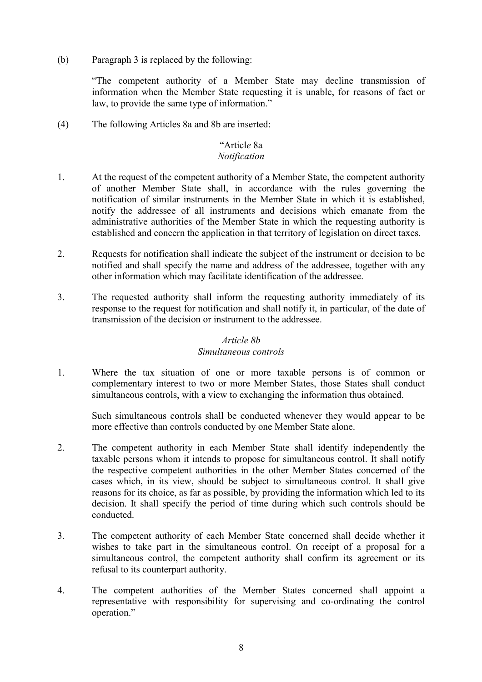(b) Paragraph 3 is replaced by the following:

"The competent authority of a Member State may decline transmission of information when the Member State requesting it is unable, for reasons of fact or law, to provide the same type of information."

(4) The following Articles 8a and 8b are inserted:

#### "Articl*e* 8a *Notification*

- 1. At the request of the competent authority of a Member State, the competent authority of another Member State shall, in accordance with the rules governing the notification of similar instruments in the Member State in which it is established, notify the addressee of all instruments and decisions which emanate from the administrative authorities of the Member State in which the requesting authority is established and concern the application in that territory of legislation on direct taxes.
- 2. Requests for notification shall indicate the subject of the instrument or decision to be notified and shall specify the name and address of the addressee, together with any other information which may facilitate identification of the addressee.
- 3. The requested authority shall inform the requesting authority immediately of its response to the request for notification and shall notify it, in particular, of the date of transmission of the decision or instrument to the addressee.

# *Article 8b*

# *Simultaneous controls*

1. Where the tax situation of one or more taxable persons is of common or complementary interest to two or more Member States, those States shall conduct simultaneous controls, with a view to exchanging the information thus obtained.

Such simultaneous controls shall be conducted whenever they would appear to be more effective than controls conducted by one Member State alone.

- 2. The competent authority in each Member State shall identify independently the taxable persons whom it intends to propose for simultaneous control. It shall notify the respective competent authorities in the other Member States concerned of the cases which, in its view, should be subject to simultaneous control. It shall give reasons for its choice, as far as possible, by providing the information which led to its decision. It shall specify the period of time during which such controls should be conducted.
- 3. The competent authority of each Member State concerned shall decide whether it wishes to take part in the simultaneous control. On receipt of a proposal for a simultaneous control, the competent authority shall confirm its agreement or its refusal to its counterpart authority.
- 4. The competent authorities of the Member States concerned shall appoint a representative with responsibility for supervising and co-ordinating the control operation."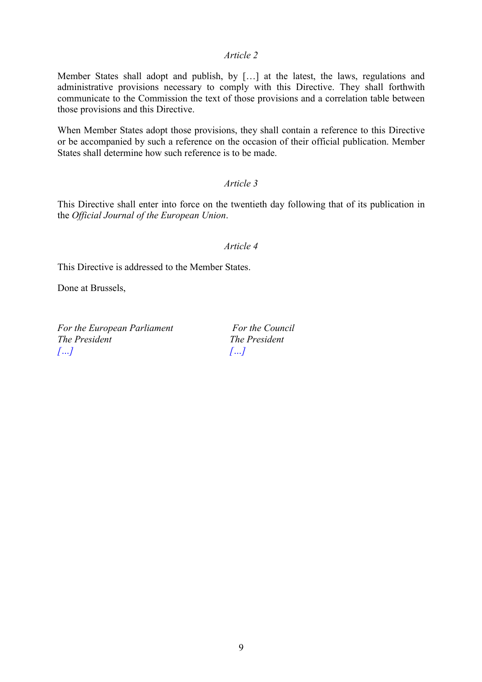#### *Article 2*

Member States shall adopt and publish, by […] at the latest, the laws, regulations and administrative provisions necessary to comply with this Directive. They shall forthwith communicate to the Commission the text of those provisions and a correlation table between those provisions and this Directive.

When Member States adopt those provisions, they shall contain a reference to this Directive or be accompanied by such a reference on the occasion of their official publication. Member States shall determine how such reference is to be made.

# *Article 3*

This Directive shall enter into force on the twentieth day following that of its publication in the *Official Journal of the European Union*.

#### *Article 4*

This Directive is addressed to the Member States.

Done at Brussels,

For the European Parliament For the Council *The President The President […] […]*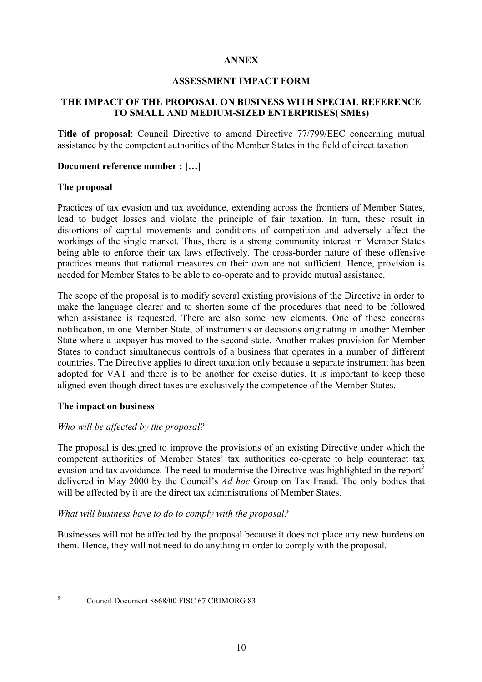# **ANNEX**

## **ASSESSMENT IMPACT FORM**

# **THE IMPACT OF THE PROPOSAL ON BUSINESS WITH SPECIAL REFERENCE TO SMALL AND MEDIUM-SIZED ENTERPRISES( SMEs)**

**Title of proposal**: Council Directive to amend Directive 77/799/EEC concerning mutual assistance by the competent authorities of the Member States in the field of direct taxation

#### **Document reference number : […]**

## **The proposal**

Practices of tax evasion and tax avoidance, extending across the frontiers of Member States, lead to budget losses and violate the principle of fair taxation. In turn, these result in distortions of capital movements and conditions of competition and adversely affect the workings of the single market. Thus, there is a strong community interest in Member States being able to enforce their tax laws effectively. The cross-border nature of these offensive practices means that national measures on their own are not sufficient. Hence, provision is needed for Member States to be able to co-operate and to provide mutual assistance.

The scope of the proposal is to modify several existing provisions of the Directive in order to make the language clearer and to shorten some of the procedures that need to be followed when assistance is requested. There are also some new elements. One of these concerns notification, in one Member State, of instruments or decisions originating in another Member State where a taxpayer has moved to the second state. Another makes provision for Member States to conduct simultaneous controls of a business that operates in a number of different countries. The Directive applies to direct taxation only because a separate instrument has been adopted for VAT and there is to be another for excise duties. It is important to keep these aligned even though direct taxes are exclusively the competence of the Member States.

#### **The impact on business**

# *Who will be affected by the proposal?*

The proposal is designed to improve the provisions of an existing Directive under which the competent authorities of Member States' tax authorities co-operate to help counteract tax evasion and tax avoidance. The need to modernise the Directive was highlighted in the report<sup>5</sup> delivered in May 2000 by the Council's *Ad hoc* Group on Tax Fraud. The only bodies that will be affected by it are the direct tax administrations of Member States.

*What will business have to do to comply with the proposal?*

Businesses will not be affected by the proposal because it does not place any new burdens on them. Hence, they will not need to do anything in order to comply with the proposal.

 $\overline{a}$ 

<sup>5</sup> Council Document 8668/00 FISC 67 CRIMORG 83